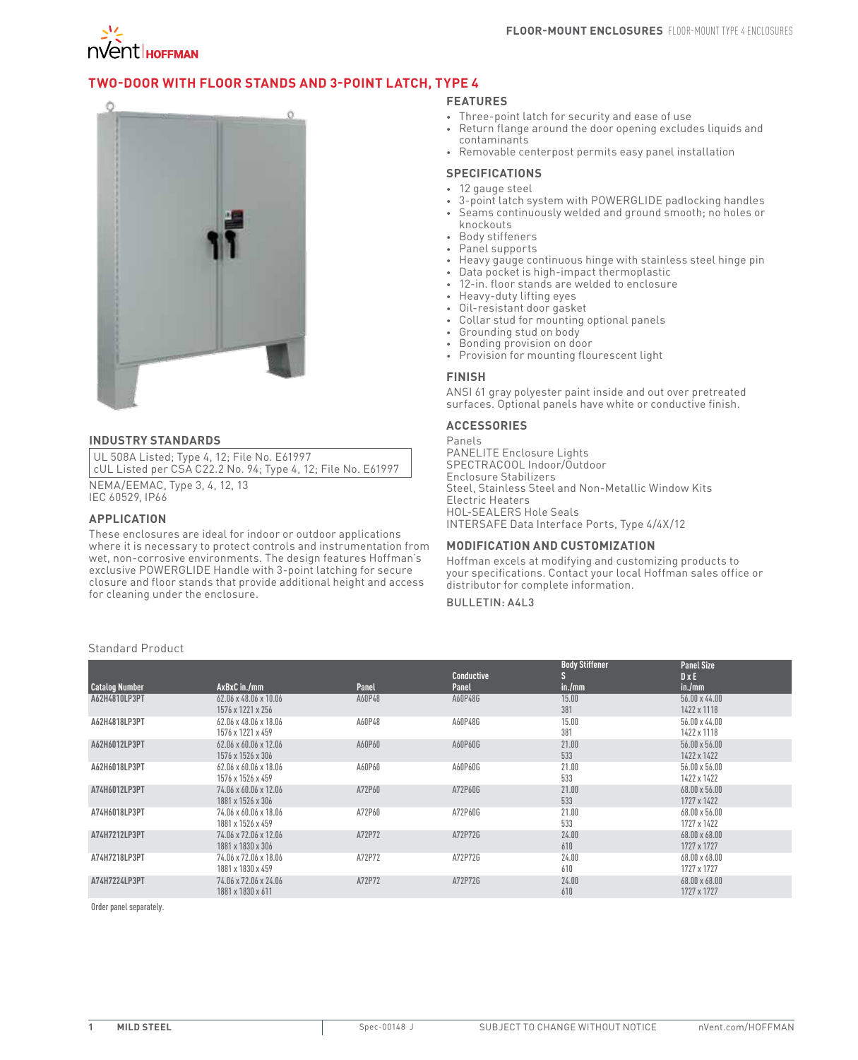

## **Two-Door with Floor Stands and 3-Point Latch, Type 4**



#### **INDUSTRY STANDARDS**

UL 508A Listed; Type 4, 12; File No. E61997 cUL Listed per CSA C22.2 No. 94; Type 4, 12; File No. E61997

NEMA/EEMAC, Type 3, 4, 12, 13 IEC 60529, IP66

#### **APPLICATION**

These enclosures are ideal for indoor or outdoor applications where it is necessary to protect controls and instrumentation from wet, non-corrosive environments. The design features Hoffman's exclusive POWERGLIDE Handle with 3-point latching for secure closure and floor stands that provide additional height and access for cleaning under the enclosure.

### **FEATURES**

- • Three-point latch for security and ease of use
- Return flange around the door opening excludes liquids and contaminants
- • Removable centerpost permits easy panel installation

#### **SPECIFICATIONS**

- 12 gauge steel
- 3-point latch system with POWERGLIDE padlocking handles
- Seams continuously welded and ground smooth; no holes or
- knockouts
- • Body stiffeners
- • Panel supports
- • Heavy gauge continuous hinge with stainless steel hinge pin
- • Data pocket is high-impact thermoplastic
- 12-in. floor stands are welded to enclosure
- Heavy-duty lifting eyes
- Oil-resistant door gasket
- Collar stud for mounting optional panels
- Grounding stud on body
- • Bonding provision on door
- • Provision for mounting flourescent light

#### **FINISH**

ANSI 61 gray polyester paint inside and out over pretreated surfaces. Optional panels have white or conductive finish.

## **ACCESSORIES**

Panels

PANELITE Enclosure Lights SPECTRACOOL Indoor/Outdoor Enclosure Stabilizers Steel, Stainless Steel and Non-Metallic Window Kits Electric Heaters HOL-SEALERS Hole Seals INTERSAFE Data Interface Ports, Type 4/4X/12

#### **MODIFICATION AND CUSTOMIZATION**

Hoffman excels at modifying and customizing products to your specifications. Contact your local Hoffman sales office or distributor for complete information.

## Bulletin: A4L3

|                       |                                                        |              | <b>Conductive</b> | <b>Body Stiffener</b><br>ß, | <b>Panel Size</b><br>$D \times E$   |
|-----------------------|--------------------------------------------------------|--------------|-------------------|-----------------------------|-------------------------------------|
| <b>Catalog Number</b> | AxBxC in./mm                                           | <b>Panel</b> | Panel             | in./mm                      | in./mm                              |
| A62H4810LP3PT         | $62.06 \times 48.06 \times 10.06$<br>1576 x 1221 x 256 | A60P48       | A60P48G           | 15.00<br>381                | $56.00 \times 44.00$<br>1422 x 1118 |
| A62H4818LP3PT         | 62.06 x 48.06 x 18.06<br>1576 x 1221 x 459             | A60P48       | A60P48G           | 15.00<br>381                | $56.00 \times 44.00$<br>1422 x 1118 |
| A62H6012LP3PT         | $62.06 \times 60.06 \times 12.06$<br>1576 x 1526 x 306 | A60P60       | A60P60G           | 21.00<br>533                | $56.00 \times 56.00$<br>1422 x 1422 |
| A62H6018LP3PT         | $62.06 \times 60.06 \times 18.06$<br>1576 x 1526 x 459 | A60P60       | A60P60G           | 21.00<br>533                | $56.00 \times 56.00$<br>1422 x 1422 |
| A74H6012LP3PT         | 74.06 x 60.06 x 12.06<br>1881 x 1526 x 306             | A72P60       | A72P60G           | 21.00<br>533                | $68.00 \times 56.00$<br>1727 x 1422 |
| A74H6018LP3PT         | 74.06 x 60.06 x 18.06<br>1881 x 1526 x 459             | A72P60       | A72P60G           | 21.00<br>533                | $68.00 \times 56.00$<br>1727 x 1422 |
| A74H7212LP3PT         | 74.06 x 72.06 x 12.06<br>1881 x 1830 x 306             | A72P72       | A72P72G           | 24.00<br>610                | $68.00 \times 68.00$<br>1727 x 1727 |
| A74H7218LP3PT         | 74.06 x 72.06 x 18.06<br>1881 x 1830 x 459             | A72P72       | A72P72G           | 24.00<br>610                | $68.00 \times 68.00$<br>1727 x 1727 |
| A74H7224LP3PT         | 74.06 x 72.06 x 24.06<br>1881 x 1830 x 611             | A72P72       | A72P72G           | 24.00<br>610                | $68.00 \times 68.00$<br>1727 x 1727 |

Order panel separately.

# Standard Product